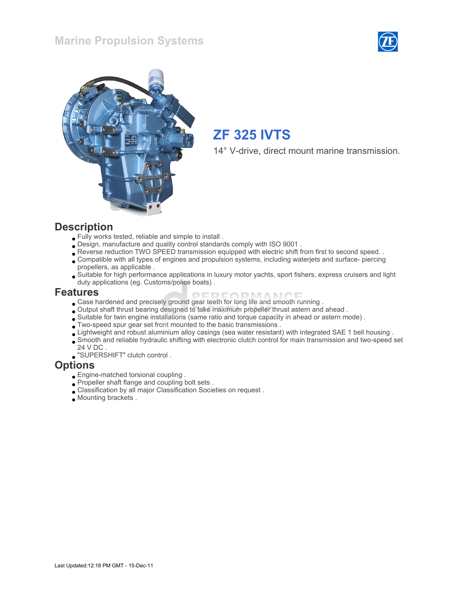## Marine Propulsion Systems





# ZF 325 IVTS

14° V-drive, direct mount marine transmission.

#### **Description**

- Fully works tested, reliable and simple to install .
- Design, manufacture and quality control standards comply with ISO 9001 .
- Reverse reduction TWO SPEED transmission equipped with electric shift from first to second speed. .
- Compatible with all types of engines and propulsion systems, including waterjets and surface- piercing propellers, as applicable .
- Suitable for high performance applications in luxury motor yachts, sport fishers, express cruisers and light duty applications (eg. Customs/police boats) .

#### Features

- DEDE/ **IDRAAMOE** Case hardened and precisely ground gear teeth for long life and smooth running .
- Output shaft thrust bearing designed to take maximum propeller thrust astern and ahead .
- Suitable for twin engine installations (same ratio and torque capacity in ahead or astern mode) .
- Two-speed spur gear set front mounted to the basic transmissions .
- Lightweight and robust aluminium alloy casings (sea water resistant) with integrated SAE 1 bell housing .
- Smooth and reliable hydraulic shifting with electronic clutch control for main transmission and two-speed set 24 V DC .
- "SUPERSHIFT" clutch control .

#### **Options**

- Engine-matched torsional coupling .
- Propeller shaft flange and coupling bolt sets.
- Classification by all major Classification Societies on request .
- Mounting brackets .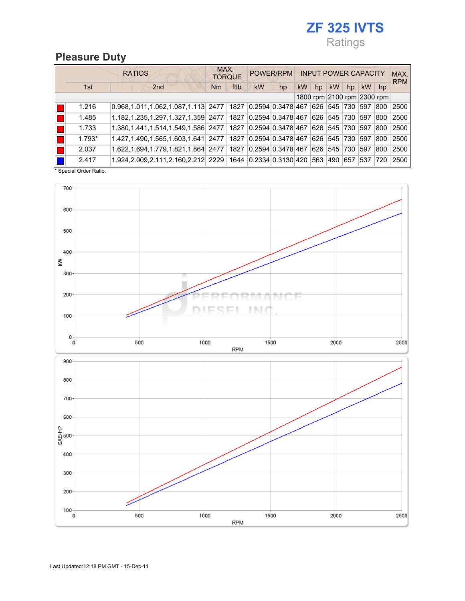## ZF 325 IVTS Ratings

### Pleasure Duty

|          | <b>RATIOS</b>                                                           | MAX.<br><b>TORQUE</b> | POWER/RPM                      | <b>INPUT POWER CAPACITY</b> | MAX.<br><b>RPM</b> |                 |      |
|----------|-------------------------------------------------------------------------|-----------------------|--------------------------------|-----------------------------|--------------------|-----------------|------|
| 1st      | 2 <sub>nd</sub>                                                         | ftlb<br>Nm            | kW<br>hp                       | <b>kW</b><br>hp             | <b>kW</b><br>hp    | <b>kW</b><br>hp |      |
|          |                                                                         |                       | 1800 rpm 2100 rpm 2300 rpm     |                             |                    |                 |      |
| 1.216    | $0.968, 1.011, 1.062, 1.087, 1.113$ 2477 1827 0.2594 0.3478 467         |                       |                                | 626 545                     | 730                | 597<br>800      | 2500 |
| 1.485    | 1.182,1.235,1.297,1.327,1.359 2477   1827 0.2594 0.3478 467 626 545 730 |                       |                                |                             |                    | 597<br>800      | 2500 |
| 1.733    | 1.380,1.441,1.514,1.549,1.586 2477 1827 0.2594 0.3478 467 626 545 730   |                       |                                |                             |                    | 597<br>800      | 2500 |
| $1.793*$ | 1.427, 1.490, 1.565, 1.603, 1.641 2477                                  |                       | 1827 0.2594 0.3478 467 626 545 |                             | 730                | 597<br>800      | 2500 |
| 2.037    | 1.622, 1.694, 1.779, 1.821, 1.864 2477                                  |                       | 1827 0.2594 0.3478 467 626 545 |                             | 730                | 597<br>800      | 2500 |
| 2.417    | 1.924,2.009,2.111,2.160,2.212 2229 1644 0.2334 0.3130 420               |                       |                                | 563 490                     | 657                | 537 720         | 2500 |

\* Special Order Ratio.

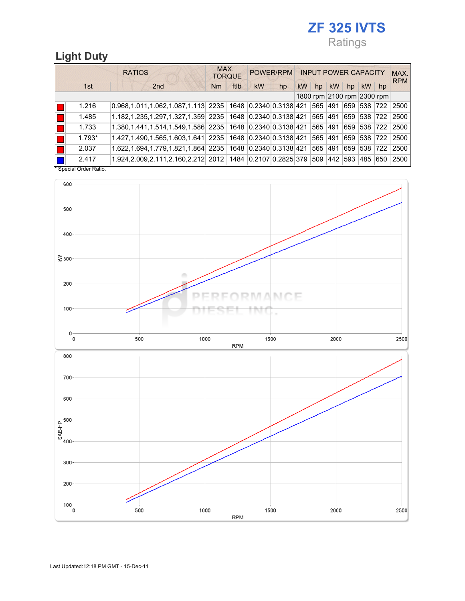## ZF 325 IVTS Ratings

## Light Duty

|               |            | <b>RATIOS</b>                                                           | MAX.<br><b>TORQUE</b> | POWER/RPM                  | <b>INPUT POWER CAPACITY</b> | MAX.<br><b>RPM</b> |                 |      |
|---------------|------------|-------------------------------------------------------------------------|-----------------------|----------------------------|-----------------------------|--------------------|-----------------|------|
|               | 1st        | 2 <sub>nd</sub>                                                         | ftlb<br>Nm            | <b>kW</b><br>hp            | kW<br>hp                    | kW<br>hp           | <b>kW</b><br>hp |      |
|               |            |                                                                         |                       | 1800 rpm 2100 rpm 2300 rpm |                             |                    |                 |      |
|               | 1.216      | $0.968, 1.011, 1.062, 1.087, 1.113$ 2235 1648 0.2340 0.3138 421 565 491 |                       |                            |                             |                    | 659 538 722     | 2500 |
|               | 1.485      | 1.182,1.235,1.297,1.327,1.359 2235 1648 0.2340 0.3138 421 565 491       |                       |                            |                             |                    | 659 538 722     | 2500 |
|               | 1.733      | 1.380,1.441,1.514,1.549,1.586 2235 1648 0.2340 0.3138 421 565 491       |                       |                            |                             |                    | 659 538 722     | 2500 |
|               | $1.793*$   | 1.427,1.490,1.565,1.603,1.641 2235 1648 0.2340 0.3138 421               |                       |                            | 565 491                     |                    | 659 538 722     | 2500 |
|               | 2.037      | 1.622,1.694,1.779,1.821,1.864 2235 1648 0.2340 0.3138 421 565 491       |                       |                            |                             | 659                | 538 722         | 2500 |
| $\sim$ $\sim$ | 2.417<br>. | 1.924,2.009,2.111,2.160,2.212 2012 1484 0.2107 0.2825 379 509 442       |                       |                            |                             | 593                | 485 650         | 2500 |

\* Special Order Ratio.

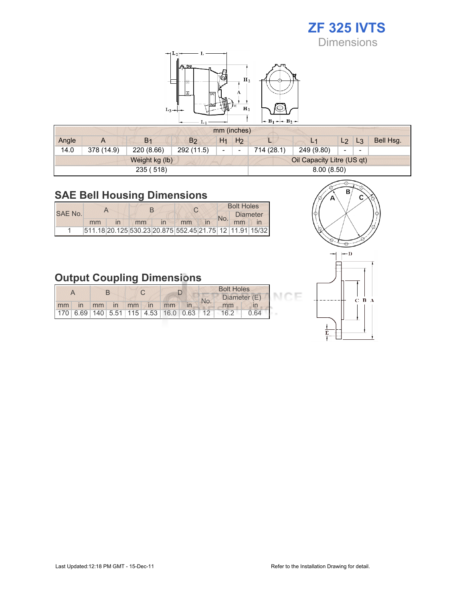## ZF 325 IVTS **Dimensions**

 $-L<sub>2</sub>$  $\mathbf{H}_2$ Â  $\mathbf{H}_1$  $L_3$  $-B_1 - B_2$ L.

|       |            |                |                |                          | mm (inches)    |            |                            |                |                          |           |
|-------|------------|----------------|----------------|--------------------------|----------------|------------|----------------------------|----------------|--------------------------|-----------|
| Angle | A          | B <sub>1</sub> | B <sub>2</sub> | H <sub>1</sub>           | H <sub>2</sub> |            | L <sub>1</sub>             | L <sub>2</sub> | $L_3$                    | Bell Hsg. |
| 14.0  | 378 (14.9) | 220 (8.66)     | 292 (11.5)     | $\overline{\phantom{0}}$ |                | 714 (28.1) | 249 (9.80)                 | -              | $\overline{\phantom{0}}$ |           |
|       |            | Weight kg (lb) |                |                          |                |            | Oil Capacity Litre (US qt) |                |                          |           |
|       |            | 235 (518)      |                |                          |                |            | 8.00(8.50)                 |                |                          |           |

## SAE Bell Housing Dimensions

|         |    |    |              |                                                         |  | <b>Bolt Holes</b> |  |
|---------|----|----|--------------|---------------------------------------------------------|--|-------------------|--|
| SAE No. |    |    |              |                                                         |  | <b>Diameter</b>   |  |
|         | mm | mm | $\mathsf{I}$ | mm                                                      |  | mm                |  |
|         |    |    |              | 511.18 20.125 530.23 20.875 552.45 21.75 12 11.91 15/32 |  |                   |  |

![](_page_3_Figure_5.jpeg)

|    |              |               |                |                   |    | <b>Bolt Holes</b> |                                                         |              |      |      |
|----|--------------|---------------|----------------|-------------------|----|-------------------|---------------------------------------------------------|--------------|------|------|
|    |              |               |                |                   |    |                   |                                                         | Diameter (E) |      |      |
| mm | $\mathsf{I}$ | $\mathsf{mm}$ | $\overline{m}$ | $\blacksquare$ mm | In | mm                |                                                         | No.          | mm   |      |
|    |              |               |                |                   |    |                   | 170   6.69   140   5.51   115   4.53   16.0   0.63   12 |              | 16.2 | ገ 64 |

![](_page_3_Figure_7.jpeg)

![](_page_3_Figure_8.jpeg)